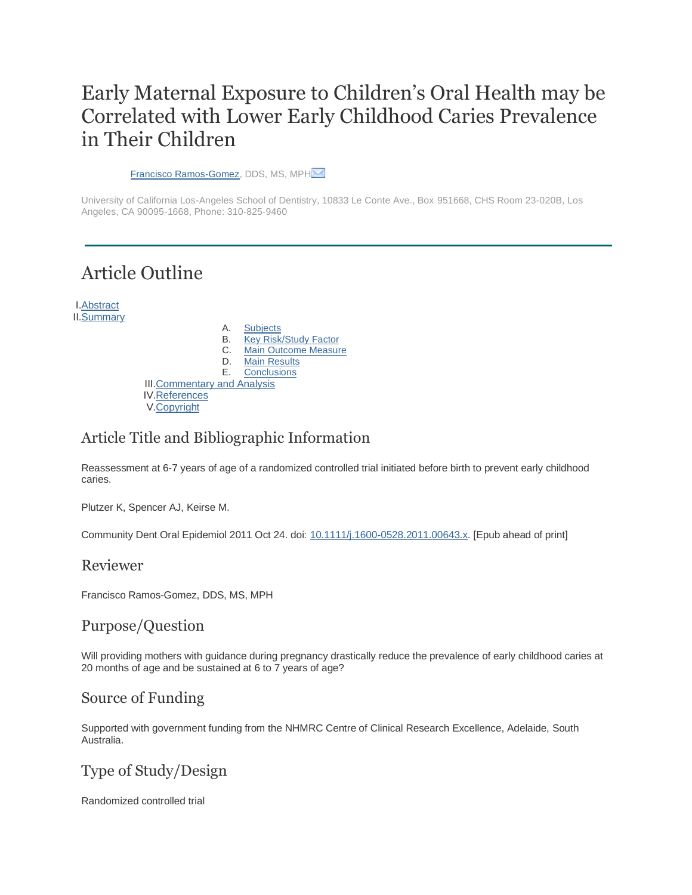# Early Maternal Exposure to Children's Oral Health may be Correlated with Lower Early Childhood Caries Prevalence in Their Children

[Francisco Ramos-Gomez,](http://www.jebdp.com/article/S1532-3382(12)00055-3/fulltext) DDS, MS, MPH $\overline{\mathbb{M}}$ 

University of California Los-Angeles School of Dentistry, 10833 Le Conte Ave., Box 951668, CHS Room 23-020B, Los Angeles, CA 90095-1668, Phone: 310-825-9460

# Article Outline

I[.Abstract](http://www.jebdp.com/article/S1532-3382(12)00055-3/fulltext#abstract) II[.Summary](http://www.jebdp.com/article/S1532-3382(12)00055-3/fulltext#sec1)

|                                     | А. | <b>Subjects</b>             |
|-------------------------------------|----|-----------------------------|
|                                     | В. | Key Risk/Study Factor       |
|                                     | C. | <b>Main Outcome Measure</b> |
|                                     | D. | <b>Main Results</b>         |
|                                     | Е. | <b>Conclusions</b>          |
| <b>III. Commentary and Analysis</b> |    |                             |
| <b>IV.References</b>                |    |                             |
| V.Copyright                         |    |                             |

## Article Title and Bibliographic Information

Reassessment at 6-7 years of age of a randomized controlled trial initiated before birth to prevent early childhood caries.

Plutzer K, Spencer AJ, Keirse M.

Community Dent Oral Epidemiol 2011 Oct 24. doi: [10.1111/j.1600-0528.2011.00643.x.](http://dx.doi.org/10.1111/j.1600-0528.2011.00643.x) [Epub ahead of print]

### Reviewer

Francisco Ramos-Gomez, DDS, MS, MPH

## Purpose/Question

Will providing mothers with guidance during pregnancy drastically reduce the prevalence of early childhood caries at 20 months of age and be sustained at 6 to 7 years of age?

## Source of Funding

Supported with government funding from the NHMRC Centre of Clinical Research Excellence, Adelaide, South Australia.

## Type of Study/Design

Randomized controlled trial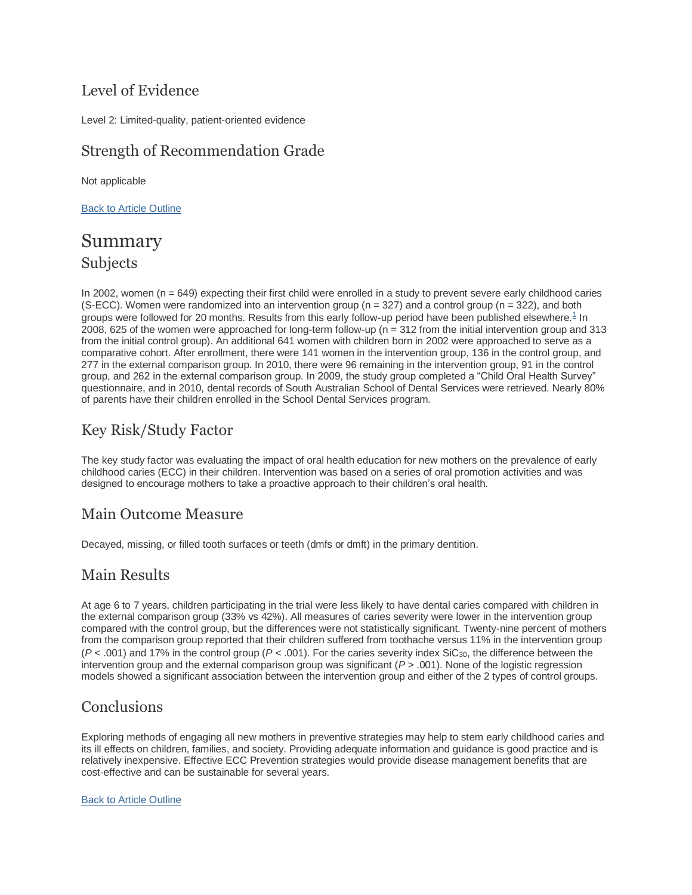## Level of Evidence

Level 2: Limited-quality, patient-oriented evidence

## Strength of Recommendation Grade

Not applicable

[Back to Article Outline](http://www.jebdp.com/article/S1532-3382(12)00055-3/fulltext#article-outline)

## Summary Subjects

In 2002, women  $(n = 649)$  expecting their first child were enrolled in a study to prevent severe early childhood caries (S-ECC). Women were randomized into an intervention group ( $n = 327$ ) and a control group ( $n = 322$ ), and both groups were followed for 20 months. Results from this early follow-up period have been published elsewhere. $1$  In 2008, 625 of the women were approached for long-term follow-up (n = 312 from the initial intervention group and 313 from the initial control group). An additional 641 women with children born in 2002 were approached to serve as a comparative cohort. After enrollment, there were 141 women in the intervention group, 136 in the control group, and 277 in the external comparison group. In 2010, there were 96 remaining in the intervention group, 91 in the control group, and 262 in the external comparison group. In 2009, the study group completed a "Child Oral Health Survey" questionnaire, and in 2010, dental records of South Australian School of Dental Services were retrieved. Nearly 80% of parents have their children enrolled in the School Dental Services program.

## Key Risk/Study Factor

The key study factor was evaluating the impact of oral health education for new mothers on the prevalence of early childhood caries (ECC) in their children. Intervention was based on a series of oral promotion activities and was designed to encourage mothers to take a proactive approach to their children's oral health.

## Main Outcome Measure

Decayed, missing, or filled tooth surfaces or teeth (dmfs or dmft) in the primary dentition.

## Main Results

At age 6 to 7 years, children participating in the trial were less likely to have dental caries compared with children in the external comparison group (33% vs 42%). All measures of caries severity were lower in the intervention group compared with the control group, but the differences were not statistically significant. Twenty-nine percent of mothers from the comparison group reported that their children suffered from toothache versus 11% in the intervention group  $(P < .001)$  and 17% in the control group  $(P < .001)$ . For the caries severity index SiC<sub>30</sub>, the difference between the intervention group and the external comparison group was significant (*P* > .001). None of the logistic regression models showed a significant association between the intervention group and either of the 2 types of control groups.

## **Conclusions**

Exploring methods of engaging all new mothers in preventive strategies may help to stem early childhood caries and its ill effects on children, families, and society. Providing adequate information and guidance is good practice and is relatively inexpensive. Effective ECC Prevention strategies would provide disease management benefits that are cost-effective and can be sustainable for several years.

#### [Back to Article Outline](http://www.jebdp.com/article/S1532-3382(12)00055-3/fulltext#article-outline)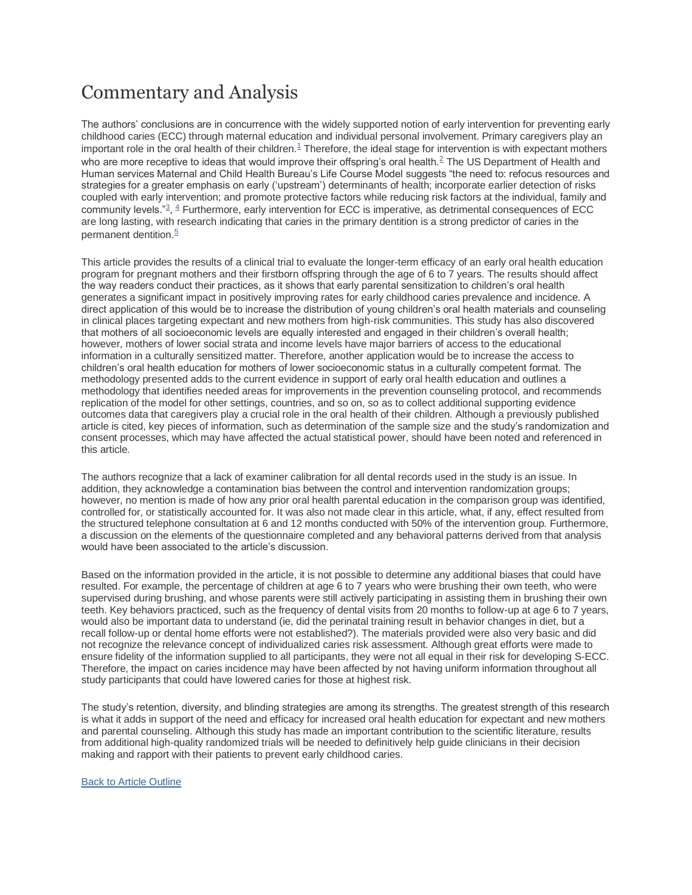# Commentary and Analysis

The authors' conclusions are in concurrence with the widely supported notion of early intervention for preventing early childhood caries (ECC) through maternal education and individual personal involvement. Primary caregivers play an important role in the oral health of their childre[n.](http://www.jebdp.com/article/S1532-3382(12)00055-3/fulltext#bib1) $1$  Therefore, the ideal stage for intervention is with expectant mothers who are more receptive to ideas that would improve their offspring's oral health.<sup>[2](http://www.jebdp.com/article/S1532-3382(12)00055-3/fulltext#bib2)</sup> The US Department of Health and Human services Maternal and Child Health Bureau's Life Course Model suggests "the need to: refocus resources and strategies for a greater emphasis on early ('upstream') determinants of health; incorporate earlier detection of risks coupled with early intervention; and promote protective factors while reducing risk factors at the individual, family and community levels.["](http://www.jebdp.com/article/S1532-3382(12)00055-3/fulltext#bib3)<sup>3</sup>, <sup>[4](http://www.jebdp.com/article/S1532-3382(12)00055-3/fulltext#bib4)</sup> Furthermore, early intervention for ECC is imperative, as detrimental consequences of ECC are long lasting, with research indicating that caries in the primary dentition is a strong predictor of caries in the permanent dentition.<sup>[5](http://www.jebdp.com/article/S1532-3382(12)00055-3/fulltext#bib5)</sup>

This article provides the results of a clinical trial to evaluate the longer-term efficacy of an early oral health education program for pregnant mothers and their firstborn offspring through the age of 6 to 7 years. The results should affect the way readers conduct their practices, as it shows that early parental sensitization to children's oral health generates a significant impact in positively improving rates for early childhood caries prevalence and incidence. A direct application of this would be to increase the distribution of young children's oral health materials and counseling in clinical places targeting expectant and new mothers from high-risk communities. This study has also discovered that mothers of all socioeconomic levels are equally interested and engaged in their children's overall health; however, mothers of lower social strata and income levels have major barriers of access to the educational information in a culturally sensitized matter. Therefore, another application would be to increase the access to children's oral health education for mothers of lower socioeconomic status in a culturally competent format. The methodology presented adds to the current evidence in support of early oral health education and outlines a methodology that identifies needed areas for improvements in the prevention counseling protocol, and recommends replication of the model for other settings, countries, and so on, so as to collect additional supporting evidence outcomes data that caregivers play a crucial role in the oral health of their children. Although a previously published article is cited, key pieces of information, such as determination of the sample size and the study's randomization and consent processes, which may have affected the actual statistical power, should have been noted and referenced in this article.

The authors recognize that a lack of examiner calibration for all dental records used in the study is an issue. In addition, they acknowledge a contamination bias between the control and intervention randomization groups; however, no mention is made of how any prior oral health parental education in the comparison group was identified, controlled for, or statistically accounted for. It was also not made clear in this article, what, if any, effect resulted from the structured telephone consultation at 6 and 12 months conducted with 50% of the intervention group. Furthermore, a discussion on the elements of the questionnaire completed and any behavioral patterns derived from that analysis would have been associated to the article's discussion.

Based on the information provided in the article, it is not possible to determine any additional biases that could have resulted. For example, the percentage of children at age 6 to 7 years who were brushing their own teeth, who were supervised during brushing, and whose parents were still actively participating in assisting them in brushing their own teeth. Key behaviors practiced, such as the frequency of dental visits from 20 months to follow-up at age 6 to 7 years, would also be important data to understand (ie, did the perinatal training result in behavior changes in diet, but a recall follow-up or dental home efforts were not established?). The materials provided were also very basic and did not recognize the relevance concept of individualized caries risk assessment. Although great efforts were made to ensure fidelity of the information supplied to all participants, they were not all equal in their risk for developing S-ECC. Therefore, the impact on caries incidence may have been affected by not having uniform information throughout all study participants that could have lowered caries for those at highest risk.

The study's retention, diversity, and blinding strategies are among its strengths. The greatest strength of this research is what it adds in support of the need and efficacy for increased oral health education for expectant and new mothers and parental counseling. Although this study has made an important contribution to the scientific literature, results from additional high-quality randomized trials will be needed to definitively help guide clinicians in their decision making and rapport with their patients to prevent early childhood caries.

#### **[Back to Article Outline](http://www.jebdp.com/article/S1532-3382(12)00055-3/fulltext#article-outline)**